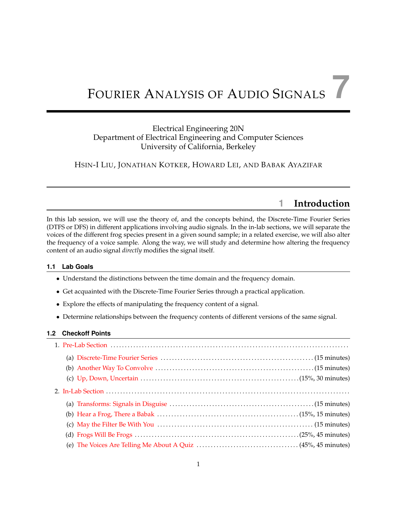# <sup>F</sup>OURIER <sup>A</sup>NALYSIS OF <sup>A</sup>UDIO <sup>S</sup>IGNALS **7**

## Electrical Engineering 20N Department of Electrical Engineering and Computer Sciences University of California, Berkeley

HSIN-I LIU, JONATHAN KOTKER, HOWARD LEI, AND BABAK AYAZIFAR

# **1 Introduction**

In this lab session, we will use the theory of, and the concepts behind, the Discrete-Time Fourier Series (DTFS or DFS) in different applications involving audio signals. In the in-lab sections, we will separate the voices of the different frog species present in a given sound sample; in a related exercise, we will also alter the frequency of a voice sample. Along the way, we will study and determine how altering the frequency content of an audio signal *directly* modifies the signal itself.

## **1.1 Lab Goals**

- Understand the distinctions between the time domain and the frequency domain.
- Get acquainted with the Discrete-Time Fourier Series through a practical application.
- Explore the effects of manipulating the frequency content of a signal.
- Determine relationships between the frequency contents of different versions of the same signal.

## **1.2 Checkoff Points**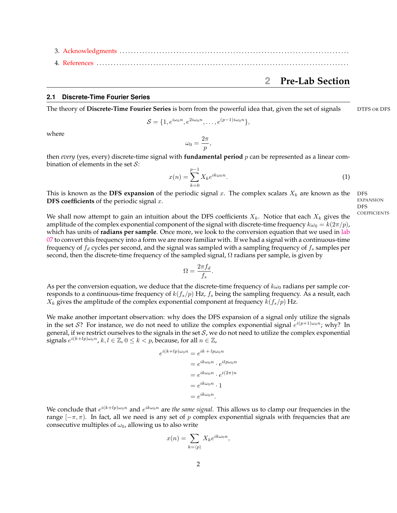<span id="page-1-0"></span>3. [Acknowledgments](#page-12-0) . . . . . . . . . . . . . . . . . . . . . . . . . . . . . . . . . . . . . . . . . . . . . . . . . . . . . . . . . . . . . . . . . . . . . . . . . . . . . . . . . 4. [References](#page-12-1) . . . . . . . . . . . . . . . . . . . . . . . . . . . . . . . . . . . . . . . . . . . . . . . . . . . . . . . . . . . . . . . . . . . . . . . . . . . . . . . . . . . . . . . . .

## **2 Pre-Lab Section**

#### <span id="page-1-1"></span>**2.1 Discrete-Time Fourier Series**

The theory of **Discrete-Time Fourier Series** is born from the powerful idea that, given the set of signals DTFS OR DFS

$$
S = \{1, e^{i\omega_0 n}, e^{2i\omega_0 n}, \dots, e^{(p-1)i\omega_0 n}\},
$$

where

$$
\omega_0=\frac{2\pi}{p},
$$

then *every* (yes, every) discrete-time signal with **fundamental period** p can be represented as a linear combination of elements in the set  $S$ :

$$
x(n) = \sum_{k=0}^{p-1} X_k e^{ik\omega_0 n}.
$$
 (1)

This is known as the **DFS expansion** of the periodic signal x. The complex scalars  $X_k$  are known as the DFS **DFS coefficients** of the periodic signal x.

We shall now attempt to gain an intuition about the DFS coefficients  $X_k$ . Notice that each  $X_k$  gives the amplitude of the complex exponential component of the signal with discrete-time frequency  $k\omega_0 = k(2\pi/p)$ , which has units of **radians per sample**. Once more, we look to the conversion equation that we used in [lab](https://bspace.berkeley.edu/access/content/group/e2ca3b13-f595-4136-b18c-7f193bed7cc1/Labs/LAB07-EE20-S10/Lab%2007.pdf) [07](https://bspace.berkeley.edu/access/content/group/e2ca3b13-f595-4136-b18c-7f193bed7cc1/Labs/LAB07-EE20-S10/Lab%2007.pdf) to convert this frequency into a form we are more familiar with. If we had a signal with a continuous-time frequency of  $f_d$  cycles per second, and the signal was sampled with a sampling frequency of  $f_s$  samples per second, then the discrete-time frequency of the sampled signal,  $\Omega$  radians per sample, is given by

$$
\Omega = \frac{2\pi f_d}{f_s}.
$$

As per the conversion equation, we deduce that the discrete-time frequency of  $k\omega_0$  radians per sample corresponds to a continuous-time frequency of  $k(f_s/p)$  Hz,  $f_s$  being the sampling frequency. As a result, each  $X_k$  gives the amplitude of the complex exponential component at frequency  $k(f_s/p)$  Hz.

We make another important observation: why does the DFS expansion of a signal only utilize the signals in the set S? For instance, we do not need to utilize the complex exponential signal  $e^{i(p+1)\omega_0 n}$ ; why? In general, if we restrict ourselves to the signals in the set  $S$ , we do not need to utilize the complex exponential signals  $e^{i(k+lp)\omega_0 n}$ ,  $k, l \in \mathbb{Z}$ ,  $0 \le k < p$ , because, for all  $n \in \mathbb{Z}$ ,

$$
e^{i(k+lp)\omega_0 n} = e^{ik+lp\omega_0 n}
$$
  
=  $e^{ik\omega_0 n} \cdot e^{ilp\omega_0 n}$   
=  $e^{ik\omega_0 n} \cdot e^{i(2\pi)n}$   
=  $e^{ik\omega_0 n} \cdot 1$   
=  $e^{ik\omega_0 n}$ .

We conclude that  $e^{i(k+lp)\omega_0 n}$  and  $e^{ik\omega_0 n}$  are the same signal. This allows us to clamp our frequencies in the range  $[-\pi, \pi]$ . In fact, all we need is any set of p complex exponential signals with frequencies that are consecutive multiples of  $\omega_0$ , allowing us to also write

$$
x(n) = \sum_{k=\langle p \rangle} X_k e^{ik\omega_0 n},
$$

2

EXPANSION DFS<br>COEFFICIENTS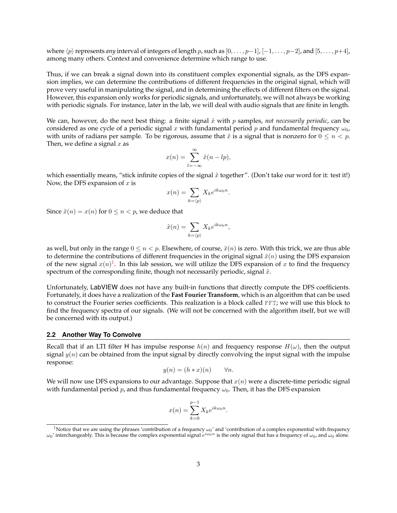where  $\langle p \rangle$  represents *any* interval of integers of length p, such as  $[0, \ldots, p-1]$ ,  $[-1, \ldots, p-2]$ , and  $[5, \ldots, p+4]$ , among many others. Context and convenience determine which range to use.

Thus, if we can break a signal down into its constituent complex exponential signals, as the DFS expansion implies, we can determine the contributions of different frequencies in the original signal, which will prove very useful in manipulating the signal, and in determining the effects of different filters on the signal. However, this expansion only works for periodic signals, and unfortunately, we will not always be working with periodic signals. For instance, later in the lab, we will deal with audio signals that are finite in length.

We can, however, do the next best thing: a finite signal  $\tilde{x}$  with p samples, *not necessarily periodic*, can be considered as one cycle of a periodic signal x with fundamental period p and fundamental frequency  $\omega_0$ , with units of radians per sample. To be rigorous, assume that  $\tilde{x}$  is a signal that is nonzero for  $0 \le n < p$ . Then, we define a signal  $x$  as

$$
x(n) = \sum_{l=-\infty}^{\infty} \tilde{x}(n-lp),
$$

which essentially means, "stick infinite copies of the signal  $\tilde{x}$  together". (Don't take our word for it: test it!) Now, the DFS expansion of  $x$  is

$$
x(n) = \sum_{k=\langle p \rangle} X_k e^{ik\omega_0 n}.
$$

Since  $\tilde{x}(n) = x(n)$  for  $0 \leq n < p$ , we deduce that

$$
\tilde{x}(n) = \sum_{k=\langle p \rangle} X_k e^{ik\omega_0 n},
$$

as well, but only in the range  $0 \le n < p$ . Elsewhere, of course,  $\tilde{x}(n)$  is zero. With this trick, we are thus able to determine the contributions of different frequencies in the original signal  $\tilde{x}(n)$  using the DFS expansion of the new signal  $x(n)^{1}$  $x(n)^{1}$  $x(n)^{1}$ . In this lab session, we will utilize the DFS expansion of x to find the frequency spectrum of the corresponding finite, though not necessarily periodic, signal  $\tilde{x}$ .

Unfortunately, LabVIEW does not have any built-in functions that directly compute the DFS coefficients. Fortunately, it does have a realization of the **Fast Fourier Transform**, which is an algorithm that can be used to construct the Fourier series coefficients. This realization is a block called FFT; we will use this block to find the frequency spectra of our signals. (We will not be concerned with the algorithm itself, but we will be concerned with its output.)

#### <span id="page-2-0"></span>**2.2 Another Way To Convolve**

Recall that if an LTI filter H has impulse response  $h(n)$  and frequency response  $H(\omega)$ , then the output signal  $y(n)$  can be obtained from the input signal by directly convolving the input signal with the impulse response:

$$
y(n) = (h * x)(n) \qquad \forall n.
$$

We will now use DFS expansions to our advantage. Suppose that  $x(n)$  were a discrete-time periodic signal with fundamental period p, and thus fundamental frequency  $\omega_0$ . Then, it has the DFS expansion

$$
x(n) = \sum_{k=0}^{p-1} X_k e^{ik\omega_0 n}.
$$

<span id="page-2-1"></span><sup>&</sup>lt;sup>1</sup>Notice that we are using the phrases 'contribution of a frequency  $\omega_0$ ' and 'contribution of a complex exponential with frequency  $\omega_0$ ' interchangeably. This is because the complex exponential signal  $e^{i\omega_0 n}$  is the only signal that has a frequency of  $\omega_0$ , and  $\omega_0$  alone.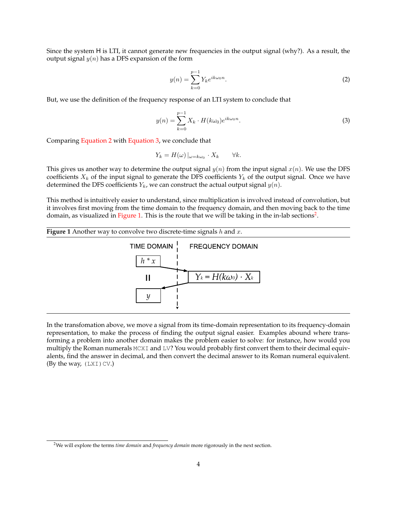Since the system H is LTI, it cannot generate new frequencies in the output signal (why?). As a result, the output signal  $y(n)$  has a DFS expansion of the form

<span id="page-3-0"></span>
$$
y(n) = \sum_{k=0}^{p-1} Y_k e^{ik\omega_0 n}.
$$
 (2)

But, we use the definition of the frequency response of an LTI system to conclude that

<span id="page-3-1"></span>
$$
y(n) = \sum_{k=0}^{p-1} X_k \cdot H(k\omega_0) e^{ik\omega_0 n}.
$$
 (3)

Comparing [Equation 2](#page-3-0) with [Equation 3,](#page-3-1) we conclude that

$$
Y_k = H(\omega) |_{\omega = k\omega_0} \cdot X_k \qquad \forall k.
$$

This gives us another way to determine the output signal  $y(n)$  from the input signal  $x(n)$ . We use the DFS coefficients  $X_k$  of the input signal to generate the DFS coefficients  $Y_k$  of the output signal. Once we have determined the DFS coefficients  $Y_k$ , we can construct the actual output signal  $y(n)$ .

This method is intuitively easier to understand, since multiplication is involved instead of convolution, but it involves first moving from the time domain to the frequency domain, and then moving back to the time domain, as visualized in [Figure 1.](#page-3-2) This is the route that we will be taking in the in-lab sections<sup>[2](#page-3-3)</sup>.

<span id="page-3-2"></span>

In the transfomation above, we move a signal from its time-domain representation to its frequency-domain representation, to make the process of finding the output signal easier. Examples abound where transforming a problem into another domain makes the problem easier to solve: for instance, how would you multiply the Roman numerals MCXI and LV? You would probably first convert them to their decimal equivalents, find the answer in decimal, and then convert the decimal answer to its Roman numeral equivalent. (By the way,  $(LXI)CV$ .)

<span id="page-3-3"></span><sup>2</sup>We will explore the terms *time domain* and *frequency domain* more rigorously in the next section.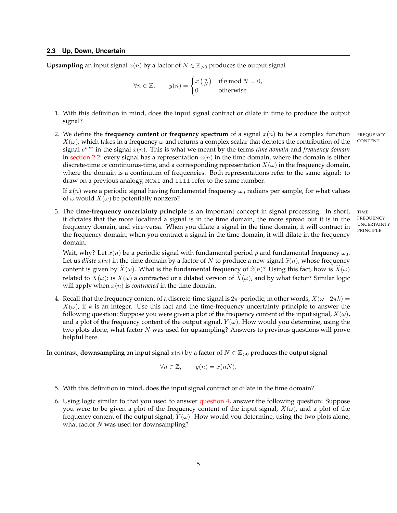<span id="page-4-0"></span>**Upsampling** an input signal  $x(n)$  by a factor of  $N \in \mathbb{Z}_{>0}$  produces the output signal

 $\forall n \in \mathbb{Z}, \quad y(n) = \begin{cases} x(\frac{n}{N}) & \text{if } n \text{ mod } N = 0, \\ 0 & \text{if } n \text{ mod } N \end{cases}$ 0 otherwise.

- 1. With this definition in mind, does the input signal contract or dilate in time to produce the output signal?
- 2. We define the **frequency content** or **frequency spectrum** of a signal  $x(n)$  to be a complex function FREQUENCY  $Y(x)$ , which takes in a frequency wand returns a complex scalar that denotes the contribution of the CONTEN  $X(\omega)$ , which takes in a frequency  $\omega$  and returns a complex scalar that denotes the contribution of the signal  $e^{i\omega n}$  in the signal  $x(n)$ . This is what we meant by the terms *time domain* and *frequency domain* in [section 2.2:](#page-2-0) every signal has a representation  $x(n)$  in the time domain, where the domain is either discrete-time or continuous-time, and a corresponding representation  $X(\omega)$  in the frequency domain, where the domain is a continuum of frequencies. Both representations refer to the same signal: to draw on a previous analogy, MCXI and 1111 refer to the same number.

If  $x(n)$  were a periodic signal having fundamental frequency  $\omega_0$  radians per sample, for what values of  $\omega$  would  $X(\omega)$  be potentially nonzero?

3. The **time-frequency uncertainty principle** is an important concept in signal processing. In short, TIMEit dictates that the more localized a signal is in the time domain, the more spread out it is in the frequency domain, and vice-versa. When you dilate a signal in the time domain, it will contract in the frequency domain; when you contract a signal in the time domain, it will dilate in the frequency domain.

FREQUENCY UNCERTAINTY PRINCIPLE

Wait, why? Let  $x(n)$  be a periodic signal with fundamental period p and fundamental frequency  $\omega_0$ . Let us *dilate*  $x(n)$  in the time domain by a factor of N to produce a new signal  $\hat{x}(n)$ , whose frequency content is given by  $X(\omega)$ . What is the fundamental frequency of  $\hat{x}(n)$ ? Using this fact, how is  $X(\omega)$ related to  $X(\omega)$ : is  $X(\omega)$  a contracted or a dilated version of  $\hat{X}(\omega)$ , and by what factor? Similar logic will apply when  $x(n)$  is *contracted* in the time domain.

<span id="page-4-1"></span>4. Recall that the frequency content of a discrete-time signal is  $2\pi$ -periodic; in other words,  $X(\omega+2\pi k)$  =  $X(\omega)$ , if k is an integer. Use this fact and the time-frequency uncertainty principle to answer the following question: Suppose you were given a plot of the frequency content of the input signal,  $X(\omega)$ , and a plot of the frequency content of the output signal,  $Y(\omega)$ . How would you determine, using the two plots alone, what factor N was used for upsampling? Answers to previous questions will prove helpful here.

In contrast, **downsampling** an input signal  $x(n)$  by a factor of  $N \in \mathbb{Z}_{>0}$  produces the output signal

$$
\forall n \in \mathbb{Z}, \qquad y(n) = x(nN).
$$

- 5. With this definition in mind, does the input signal contract or dilate in the time domain?
- 6. Using logic similar to that you used to answer [question 4,](#page-4-1) answer the following question: Suppose you were to be given a plot of the frequency content of the input signal,  $X(\omega)$ , and a plot of the frequency content of the output signal,  $Y(\omega)$ . How would you determine, using the two plots alone, what factor  $N$  was used for downsampling?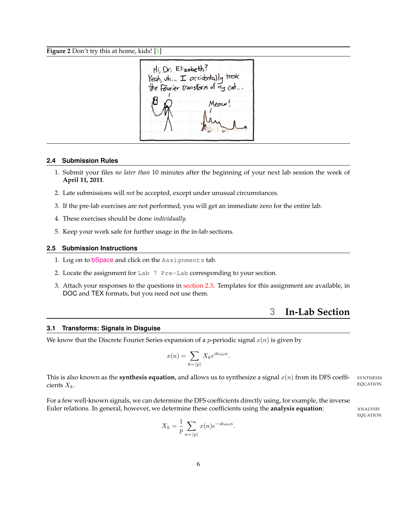#### **Figure 2** Don't try this at home, kids! [\[1\]](#page-12-2)

 $Hi$  Dr.  $E$ tzabeth? Yeah uh. I accidentally teach the Fourier transform of my cat...

#### **2.4 Submission Rules**

- 1. Submit your files *no later than* 10 minutes after the beginning of your next lab session the week of **April 11, 2011**.
- 2. Late submissions will *not* be accepted, except under unusual circumstances.
- 3. If the pre-lab exercises are not performed, you will get an immediate zero for the entire lab.
- 4. These exercises should be done *individually.*
- 5. Keep your work safe for further usage in the in-lab sections.

#### **2.5 Submission Instructions**

- 1. Log on to **[bSpace](http://bspace.berkeley.edu)** and click on the Assignments tab.
- 2. Locate the assignment for Lab 7 Pre-Lab corresponding to your section.
- <span id="page-5-0"></span>3. Attach your responses to the questions in [section 2.3.](#page-4-0) Templates for this assignment are available, in DOC and TEX formats, but you need not use them.

## **3 In-Lab Section**

#### <span id="page-5-1"></span>**3.1 Transforms: Signals in Disguise**

We know that the Discrete Fourier Series expansion of a *p*-periodic signal  $x(n)$  is given by

$$
x(n) = \sum_{k=\langle p \rangle} X_k e^{ik\omega_0 n}.
$$

This is also known as the **synthesis equation**, and allows us to synthesize a signal  $x(n)$  from its DFS coeffi-<br>EQUATION cients  $X_k$ . Equation

For a few well-known signals, we can determine the DFS coefficients directly using, for example, the inverse Euler relations. In general, however, we determine these coefficients using the **analysis equation**: ANALYSIS

EQUATION

$$
X_k = \frac{1}{p} \sum_{n=\langle p \rangle} x(n) e^{-ik\omega_0 n}.
$$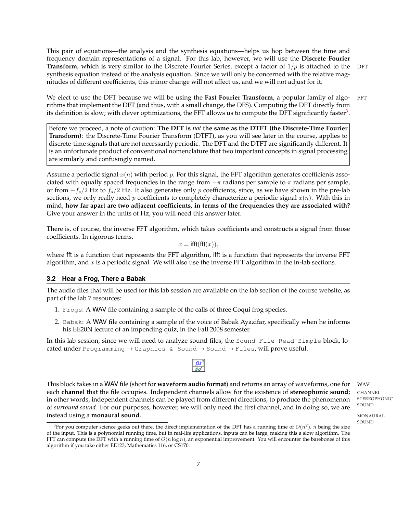This pair of equations—the analysis and the synthesis equations—helps us hop between the time and frequency domain representations of a signal. For this lab, however, we will use the **Discrete Fourier Transform**, which is very similar to the Discrete Fourier Series, except a factor of  $1/p$  is attached to the DFT synthesis equation instead of the analysis equation. Since we will only be concerned with the relative magnitudes of different coefficients, this minor change will not affect us, and we will not adjust for it.

We elect to use the DFT because we will be using the **Fast Fourier Transform**, a popular family of algo-FFT rithms that implement the DFT (and thus, with a small change, the DFS). Computing the DFT directly from its definition is slow; with clever optimizations, the FFT allows us to compute the DFT significantly faster $^3$  $^3$ .

Before we proceed, a note of caution: **The DFT is** *not* **the same as the DTFT (the Discrete-Time Fourier Transform)**: the Discrete-Time Fourier Transform (DTFT), as you will see later in the course, applies to discrete-time signals that are not necessarily periodic. The DFT and the DTFT are significantly different. It is an unfortunate product of conventional nomenclature that two important concepts in signal processing are similarly and confusingly named.

Assume a periodic signal  $x(n)$  with period p. For this signal, the FFT algorithm generates coefficients associated with equally spaced frequencies in the range from  $-\pi$  radians per sample to  $\pi$  radians per sample, or from  $-f_s/2$  Hz to  $f_s/2$  Hz. It also generates only p coefficients, since, as we have shown in the pre-lab sections, we only really need p coefficients to completely characterize a periodic signal  $x(n)$ . With this in mind, **how far apart are two adjacent coefficients, in terms of the frequencies they are associated with?** Give your answer in the units of Hz; you will need this answer later.

There is, of course, the inverse FFT algorithm, which takes coefficients and constructs a signal from those coefficients. In rigorous terms,

$$
x = \mathsf{ifft}(\mathsf{fft}(x)),
$$

where fft is a function that represents the FFT algorithm, ifft is a function that represents the inverse FFT algorithm, and  $x$  is a periodic signal. We will also use the inverse FFT algorithm in the in-lab sections.

#### <span id="page-6-0"></span>**3.2 Hear a Frog, There a Babak**

The audio files that will be used for this lab session are available on the lab section of the course website, as part of the lab 7 resources:

- 1. Frogs: A WAV file containing a sample of the calls of three Coqui frog species.
- 2. Babak: A WAV file containing a sample of the voice of Babak Ayazifar, specifically when he informs his EE20N lecture of an impending quiz, in the Fall 2008 semester.

In this lab session, since we will need to analyze sound files, the Sound File Read Simple block, located under Programming  $\rightarrow$  Graphics & Sound  $\rightarrow$  Sound  $\rightarrow$  Files, will prove useful.

 $\boxed{\frac{3}{2}}$ 

This block takes in a WAV file (short for **waveform audio format**) and returns an array of waveforms, one for WAV each **channel** that the file occupies. Independent channels allow for the existence of stereophonic sound; CHANNEL in other words, independent channels can be played from different directions, to produce the phenomenon of *surround sound*. For our purposes, however, we will only need the first channel, and in doing so, we are **instead using a <b>monaural sound**. The same of the set of the set of the set of the set of the set of the set of the set of the set of the set of the set of the set of the set of the set of the set of the set of the set of

STEREOPHONIC SOUND

SOUND

<span id="page-6-1"></span><sup>&</sup>lt;sup>3</sup>For you computer science geeks out there, the direct implementation of the DFT has a running time of  $O(n^2)$ , n being the size of the input. This is a polynomial running time, but in real-life applications, inputs can be large, making this a slow algorithm. The FFT can compute the DFT with a running time of  $O(n \log n)$ , an exponential improvement. You will encounter the barebones of this algorithm if you take either EE123, Mathematics 116, or CS170.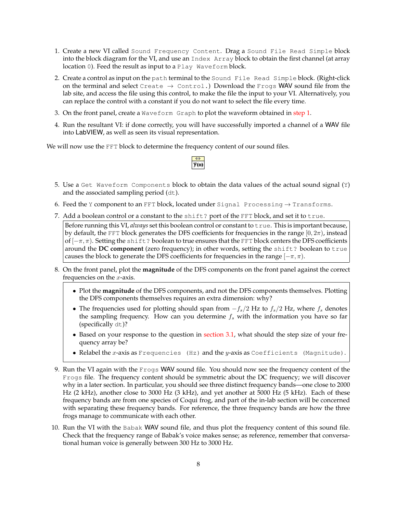- <span id="page-7-1"></span>1. Create a new VI called Sound Frequency Content. Drag a Sound File Read Simple block into the block diagram for the VI, and use an Index Array block to obtain the first channel (at array location 0). Feed the result as input to a Play Waveform block.
- 2. Create a control as input on the path terminal to the Sound File Read Simple block. (Right-click on the terminal and select Create  $\rightarrow$  Control.) Download the Frogs WAV sound file from the lab site, and access the file using this control, to make the file the input to your VI. Alternatively, you can replace the control with a constant if you do not want to select the file every time.
- 3. On the front panel, create a Waveform Graph to plot the waveform obtained in [step 1.](#page-7-1)
- 4. Run the resultant VI: if done correctly, you will have successfully imported a channel of a WAV file into LabVIEW, as well as seen its visual representation.

We will now use the FFT block to determine the frequency content of our sound files.



- <span id="page-7-2"></span>5. Use a Get Waveform Components block to obtain the data values of the actual sound signal (Y) and the associated sampling period (dt).
- 6. Feed the Y component to an FFT block, located under Signal Processing  $\rightarrow$  Transforms.
- 7. Add a boolean control or a constant to the shift? port of the FFT block, and set it to true.

Before running this VI, *always* set this boolean control or constant to true. This is important because, by default, the FFT block generates the DFS coefficients for frequencies in the range  $[0, 2\pi)$ , instead of  $[-\pi, \pi)$ . Setting the shift? boolean to true ensures that the FFT block centers the DFS coefficients around the DC component (zero frequency); in other words, setting the shift? boolean to true causes the block to generate the DFS coefficients for frequencies in the range  $[-\pi, \pi)$ .

- 8. On the front panel, plot the **magnitude** of the DFS components on the front panel against the correct frequencies on the  $x$ -axis.
	- Plot the **magnitude** of the DFS components, and not the DFS components themselves. Plotting the DFS components themselves requires an extra dimension: why?
	- The frequencies used for plotting should span from  $-f_s/2$  Hz to  $f_s/2$  Hz, where  $f_s$  denotes the sampling frequency. How can you determine  $f_s$  with the information you have so far (specifically dt)?
	- Based on your response to the question in [section 3.1,](#page-5-1) what should the step size of your frequency array be?
	- Relabel the  $x$ -axis as Frequencies (Hz) and the  $y$ -axis as Coefficients (Magnitude).
- 9. Run the VI again with the Frogs WAV sound file. You should now see the frequency content of the Frogs file. The frequency content should be symmetric about the DC frequency; we will discover why in a later section. In particular, you should see three distinct frequency bands—one close to 2000 Hz (2 kHz), another close to 3000 Hz (3 kHz), and yet another at 5000 Hz (5 kHz). Each of these frequency bands are from one species of Coqui frog, and part of the in-lab section will be concerned with separating these frequency bands. For reference, the three frequency bands are how the three frogs manage to communicate with each other.
- <span id="page-7-0"></span>10. Run the VI with the Babak WAV sound file, and thus plot the frequency content of this sound file. Check that the frequency range of Babak's voice makes sense; as reference, remember that conversational human voice is generally between 300 Hz to 3000 Hz.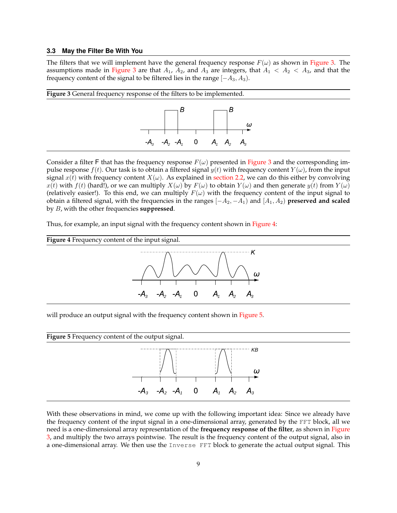#### **3.3 May the Filter Be With You**

The filters that we will implement have the general frequency response  $F(\omega)$  as shown in [Figure 3.](#page-8-0) The assumptions made in [Figure 3](#page-8-0) are that  $A_1$ ,  $A_2$ , and  $A_3$  are integers, that  $A_1 < A_2 < A_3$ , and that the frequency content of the signal to be filtered lies in the range  $[-A_3, A_3)$ .

<span id="page-8-0"></span>

Consider a filter F that has the frequency response  $F(\omega)$  presented in [Figure 3](#page-8-0) and the corresponding impulse response  $f(t)$ . Our task is to obtain a filtered signal  $y(t)$  with frequency content  $Y(\omega)$ , from the input signal  $x(t)$  with frequency content  $X(\omega)$ . As explained in [section 2.2,](#page-2-0) we can do this either by convolving  $x(t)$  with  $f(t)$  (hard!), or we can multiply  $X(\omega)$  by  $F(\omega)$  to obtain  $Y(\omega)$  and then generate  $y(t)$  from  $Y(\omega)$ (relatively easier!). To this end, we can multiply  $F(\omega)$  with the frequency content of the input signal to obtain a filtered signal, with the frequencies in the ranges  $[-A_2, -A_1)$  and  $[A_1, A_2)$  **preserved and scaled** by B, with the other frequencies **suppressed**.

Thus, for example, an input signal with the frequency content shown in [Figure 4:](#page-8-1)

<span id="page-8-1"></span>

will produce an output signal with the frequency content shown in [Figure 5.](#page-8-2)

<span id="page-8-2"></span>

With these observations in mind, we come up with the following important idea: Since we already have the frequency content of the input signal in a one-dimensional array, generated by the FFT block, all we need is a one-dimensional array representation of the **frequency response of the filter**, as shown in [Figure](#page-8-0) [3,](#page-8-0) and multiply the two arrays pointwise. The result is the frequency content of the output signal, also in a one-dimensional array. We then use the Inverse FFT block to generate the actual output signal. This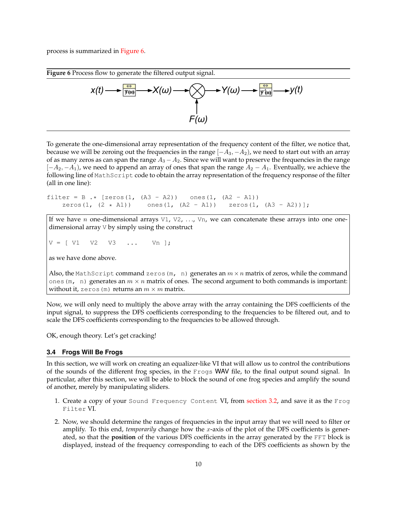process is summarized in [Figure 6.](#page-9-1)

<span id="page-9-1"></span>

To generate the one-dimensional array representation of the frequency content of the filter, we notice that, because we will be zeroing out the frequencies in the range  $[-A_3, -A_2)$ , we need to start out with an array of as many zeros as can span the range  $A_3 - A_2$ . Since we will want to preserve the frequencies in the range  $[-A_2, -A_1)$ , we need to append an array of ones that span the range  $A_2 - A_1$ . Eventually, we achieve the following line of MathScript code to obtain the array representation of the frequency response of the filter (all in one line):

filter = B  $\cdot$  [zeros(1, (A3 - A2)) ones(1, (A2 - A1)) zeros(1,  $(2 \times A1)$ ) ones(1,  $(A2 - A1)$ ) zeros(1,  $(A3 - A2)$ );

If we have n one-dimensional arrays  $V1$ ,  $V2$ , ...,  $Vn$ , we can concatenate these arrays into one onedimensional array V by simply using the construct

 $V = [ V1 V2 V3 ... Vn ];$ 

as we have done above.

Also, the MathScript command zeros (m, n) generates an  $m \times n$  matrix of zeros, while the command ones (m, n) generates an  $m \times n$  matrix of ones. The second argument to both commands is important: without it, zeros (m) returns an  $m \times m$  matrix.

Now, we will only need to multiply the above array with the array containing the DFS coefficients of the input signal, to suppress the DFS coefficients corresponding to the frequencies to be filtered out, and to scale the DFS coefficients corresponding to the frequencies to be allowed through.

<span id="page-9-0"></span>OK, enough theory. Let's get cracking!

#### **3.4 Frogs Will Be Frogs**

In this section, we will work on creating an equalizer-like VI that will allow us to control the contributions of the sounds of the different frog species, in the Frogs WAV file, to the final output sound signal. In particular, after this section, we will be able to block the sound of one frog species and amplify the sound of another, merely by manipulating sliders.

- 1. Create a copy of your Sound Frequency Content VI, from [section 3.2,](#page-6-0) and save it as the Frog Filter VI.
- 2. Now, we should determine the ranges of frequencies in the input array that we will need to filter or amplify. To this end, *temporarily* change how the x-axis of the plot of the DFS coefficients is generated, so that the **position** of the various DFS coefficients in the array generated by the FFT block is displayed, instead of the frequency corresponding to each of the DFS coefficients as shown by the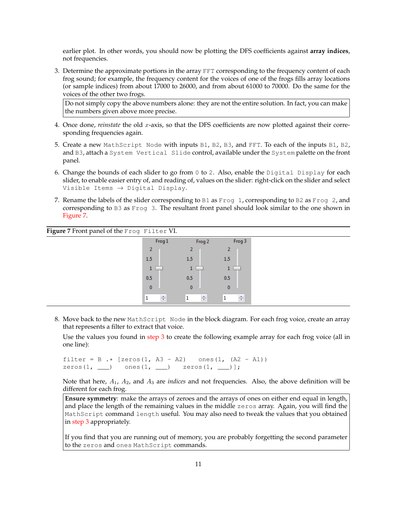earlier plot. In other words, you should now be plotting the DFS coefficients against **array indices**, not frequencies.

<span id="page-10-1"></span>3. Determine the approximate portions in the array FFT corresponding to the frequency content of each frog sound; for example, the frequency content for the voices of one of the frogs fills array locations (or sample indices) from about 17000 to 26000, and from about 61000 to 70000. Do the same for the voices of the other two frogs.

Do not simply copy the above numbers alone: they are not the entire solution. In fact, you can make the numbers given above more precise.

- 4. Once done, *reinstate* the old x-axis, so that the DFS coefficients are now plotted against their corresponding frequencies again.
- 5. Create a new MathScript Node with inputs B1, B2, B3, and FFT. To each of the inputs B1, B2, and B3, attach a System Vertical Slide control, available under the System palette on the front panel.
- 6. Change the bounds of each slider to go from  $0$  to 2. Also, enable the Digital Display for each slider, to enable easier entry of, and reading of, values on the slider: right-click on the slider and select Visible Items  $\rightarrow$  Digital Display.
- 7. Rename the labels of the slider corresponding to B1 as Frog 1, corresponding to B2 as Frog 2, and corresponding to B3 as Frog 3. The resultant front panel should look similar to the one shown in [Figure 7.](#page-10-0)

<span id="page-10-0"></span>

| Figure 7 Front panel of the Frog Filter VI. |              |              |                    |
|---------------------------------------------|--------------|--------------|--------------------|
|                                             | Frog 1       | Frog 2       | Frog 3             |
|                                             | 2            | 2            |                    |
|                                             | 1.5          | 1.5          | 1.5                |
|                                             |              |              | -                  |
|                                             | 0.5          | 0.5          | 0.5                |
|                                             | $\mathbf{0}$ | $\mathbf{0}$ | $\mathbf{0}$       |
|                                             | ÷            | ÷            | $\frac{4}{7}$<br>ш |

8. Move back to the new MathScript Node in the block diagram. For each frog voice, create an array that represents a filter to extract that voice.

Use the values you found in [step 3](#page-10-1) to create the following example array for each frog voice (all in one line):

filter = B .\* [zeros(1, A3 - A2) ones(1,  $(A2 - A1)$ )  $zeros(1, \_\_\)$  ones(1,  $\_\_\)$  zeros(1,  $\_\$ )];

Note that here, A1, A2, and A<sup>3</sup> are *indices* and not frequencies. Also, the above definition will be different for each frog.

**Ensure symmetry**: make the arrays of zeroes and the arrays of ones on either end equal in length, and place the length of the remaining values in the middle zeros array. Again, you will find the MathScript command length useful. You may also need to tweak the values that you obtained in [step 3](#page-10-1) appropriately.

If you find that you are running out of memory, you are probably forgetting the second parameter to the zeros and ones MathScript commands.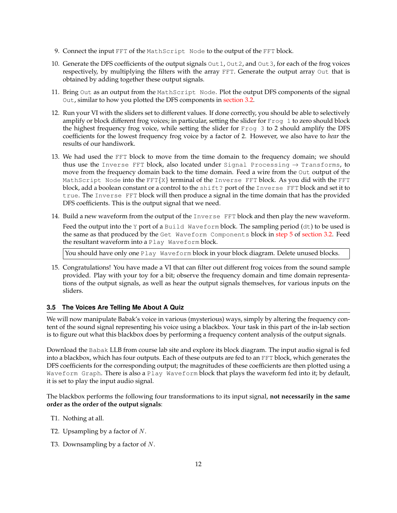- 9. Connect the input FFT of the MathScript Node to the output of the FFT block.
- 10. Generate the DFS coefficients of the output signals Out1, Out2, and Out3, for each of the frog voices respectively, by multiplying the filters with the array FFT. Generate the output array Out that is obtained by adding together these output signals.
- 11. Bring Out as an output from the MathScript Node. Plot the output DFS components of the signal Out, similar to how you plotted the DFS components in [section 3.2.](#page-6-0)
- 12. Run your VI with the sliders set to different values. If done correctly, you should be able to selectively amplify or block different frog voices; in particular, setting the slider for Frog 1 to zero should block the highest frequency frog voice, while setting the slider for Frog 3 to 2 should amplify the DFS coefficients for the lowest frequency frog voice by a factor of 2. However, we also have to *hear* the results of our handiwork.
- 13. We had used the FFT block to move from the time domain to the frequency domain; we should thus use the Inverse FFT block, also located under Signal Processing  $\rightarrow$  Transforms, to move from the frequency domain back to the time domain. Feed a wire from the Out output of the MathScript Node into the  $FFT{X}$  terminal of the Inverse FFT block. As you did with the FFT block, add a boolean constant or a control to the shift? port of the Inverse FFT block and set it to true. The Inverse FFT block will then produce a signal in the time domain that has the provided DFS coefficients. This is the output signal that we need.
- 14. Build a new waveform from the output of the Inverse FFT block and then play the new waveform.

Feed the output into the Y port of a Build Waveform block. The sampling period  $(dt)$  to be used is the same as that produced by the Get Waveform Components block in [step 5](#page-7-2) of [section 3.2.](#page-6-0) Feed the resultant waveform into a Play Waveform block.

You should have only one Play Waveform block in your block diagram. Delete unused blocks.

15. Congratulations! You have made a VI that can filter out different frog voices from the sound sample provided. Play with your toy for a bit; observe the frequency domain and time domain representations of the output signals, as well as hear the output signals themselves, for various inputs on the sliders.

## <span id="page-11-0"></span>**3.5 The Voices Are Telling Me About A Quiz**

We will now manipulate Babak's voice in various (mysterious) ways, simply by altering the frequency content of the sound signal representing his voice using a blackbox. Your task in this part of the in-lab section is to figure out what this blackbox does by performing a frequency content analysis of the output signals.

Download the Babak LLB from course lab site and explore its block diagram. The input audio signal is fed into a blackbox, which has four outputs. Each of these outputs are fed to an FFT block, which generates the DFS coefficients for the corresponding output; the magnitudes of these coefficients are then plotted using a Waveform Graph. There is also a Play Waveform block that plays the waveform fed into it; by default, it is set to play the input audio signal.

The blackbox performs the following four transformations to its input signal, **not necessarily in the same order as the order of the output signals**:

- T1. Nothing at all.
- T2. Upsampling by a factor of  $N$ .
- T3. Downsampling by a factor of  $N$ .